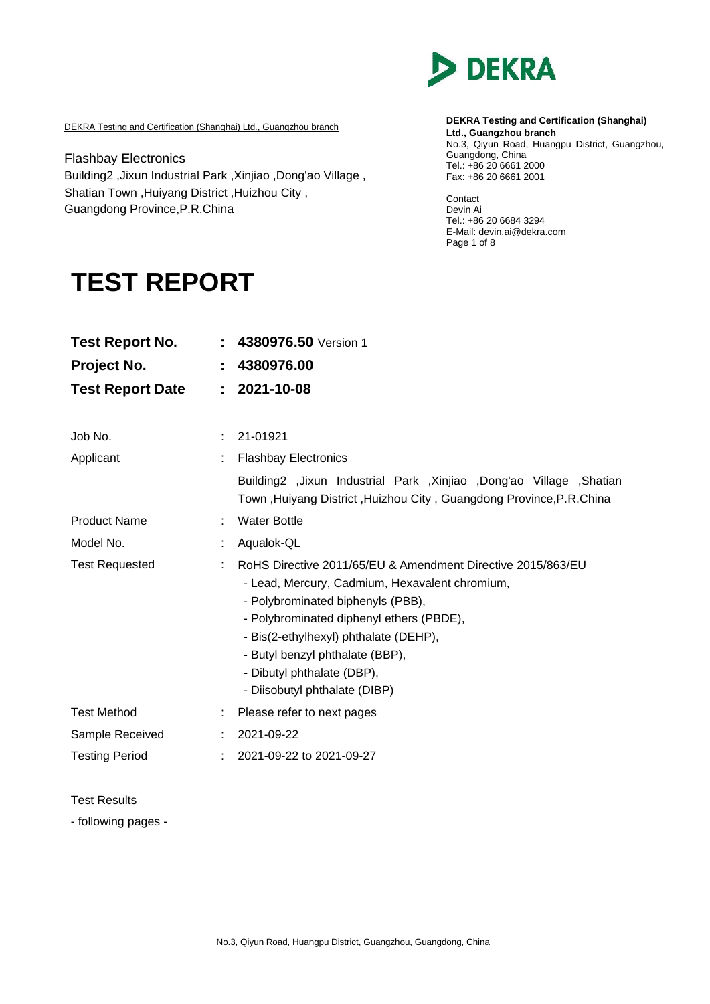

DEKRA Testing and Certification (Shanghai) Ltd., Guangzhou branch

Flashbay Electronics Building2 ,Jixun Industrial Park ,Xinjiao ,Dong'ao Village , Shatian Town ,Huiyang District ,Huizhou City , Guangdong Province,P.R.China

**DEKRA Testing and Certification (Shanghai) Ltd., Guangzhou branch** No.3, Qiyun Road, Huangpu District, Guangzhou, Guangdong, China Tel.: +86 20 6661 2000 Fax: +86 20 6661 2001

Contact Devin Ai Tel.: +86 20 6684 3294 E-Mail: devin.ai@dekra.com Page 1 of 8

# **TEST REPORT**

| <b>Test Report No.</b>  |    | 4380976.50 Version 1                                                                                                                                                                                                                                                                                                                      |
|-------------------------|----|-------------------------------------------------------------------------------------------------------------------------------------------------------------------------------------------------------------------------------------------------------------------------------------------------------------------------------------------|
| Project No.             |    | 4380976.00                                                                                                                                                                                                                                                                                                                                |
| <b>Test Report Date</b> | ÷. | 2021-10-08                                                                                                                                                                                                                                                                                                                                |
|                         |    |                                                                                                                                                                                                                                                                                                                                           |
| Job No.                 | ÷. | 21-01921                                                                                                                                                                                                                                                                                                                                  |
| Applicant               |    | <b>Flashbay Electronics</b>                                                                                                                                                                                                                                                                                                               |
|                         |    | Building2 ,Jixun Industrial Park ,Xinjiao ,Dong'ao Village ,Shatian<br>Town, Huiyang District, Huizhou City, Guangdong Province, P.R.China                                                                                                                                                                                                |
| <b>Product Name</b>     |    | <b>Water Bottle</b>                                                                                                                                                                                                                                                                                                                       |
| Model No.               |    | Aqualok-QL                                                                                                                                                                                                                                                                                                                                |
| <b>Test Requested</b>   |    | RoHS Directive 2011/65/EU & Amendment Directive 2015/863/EU<br>- Lead, Mercury, Cadmium, Hexavalent chromium,<br>- Polybrominated biphenyls (PBB),<br>- Polybrominated diphenyl ethers (PBDE),<br>- Bis(2-ethylhexyl) phthalate (DEHP),<br>- Butyl benzyl phthalate (BBP),<br>- Dibutyl phthalate (DBP),<br>- Diisobutyl phthalate (DIBP) |
| <b>Test Method</b>      |    | Please refer to next pages                                                                                                                                                                                                                                                                                                                |
| Sample Received         |    | 2021-09-22                                                                                                                                                                                                                                                                                                                                |
| <b>Testing Period</b>   |    | 2021-09-22 to 2021-09-27                                                                                                                                                                                                                                                                                                                  |

Test Results

- following pages -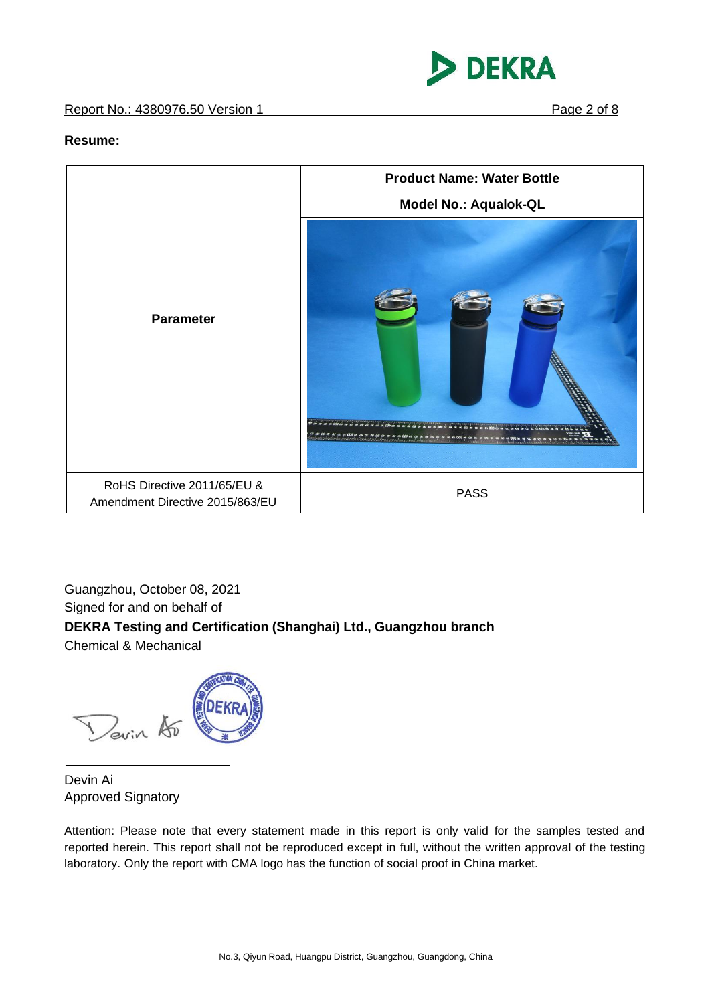## Report No.: 4380976.50 Version 1 **Page 2 of 8**



#### **Resume:**



Guangzhou, October 08, 2021 Signed for and on behalf of **DEKRA Testing and Certification (Shanghai) Ltd., Guangzhou branch** Chemical & Mechanical



Devin Ai Approved Signatory

Attention: Please note that every statement made in this report is only valid for the samples tested and reported herein. This report shall not be reproduced except in full, without the written approval of the testing laboratory. Only the report with CMA logo has the function of social proof in China market.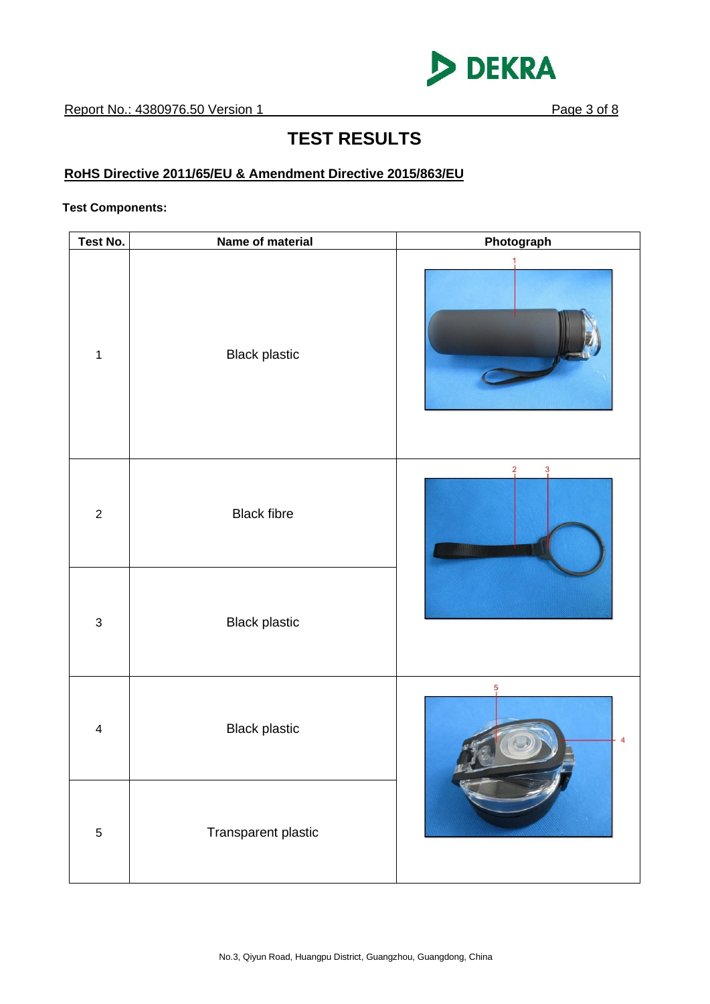

# **TEST RESULTS**

# **RoHS Directive 2011/65/EU & Amendment Directive 2015/863/EU**

#### **Test Components:**

| Test No.                | Name of material     | Photograph                      |
|-------------------------|----------------------|---------------------------------|
| $\mathbf 1$             | <b>Black plastic</b> |                                 |
| $\boldsymbol{2}$        | <b>Black fibre</b>   | $\overline{2}$<br>3<br>山間期      |
| $\sqrt{3}$              | <b>Black plastic</b> |                                 |
| $\overline{\mathbf{4}}$ | <b>Black plastic</b> | $\frac{5}{1}$<br>$\overline{4}$ |
| $\overline{5}$          | Transparent plastic  |                                 |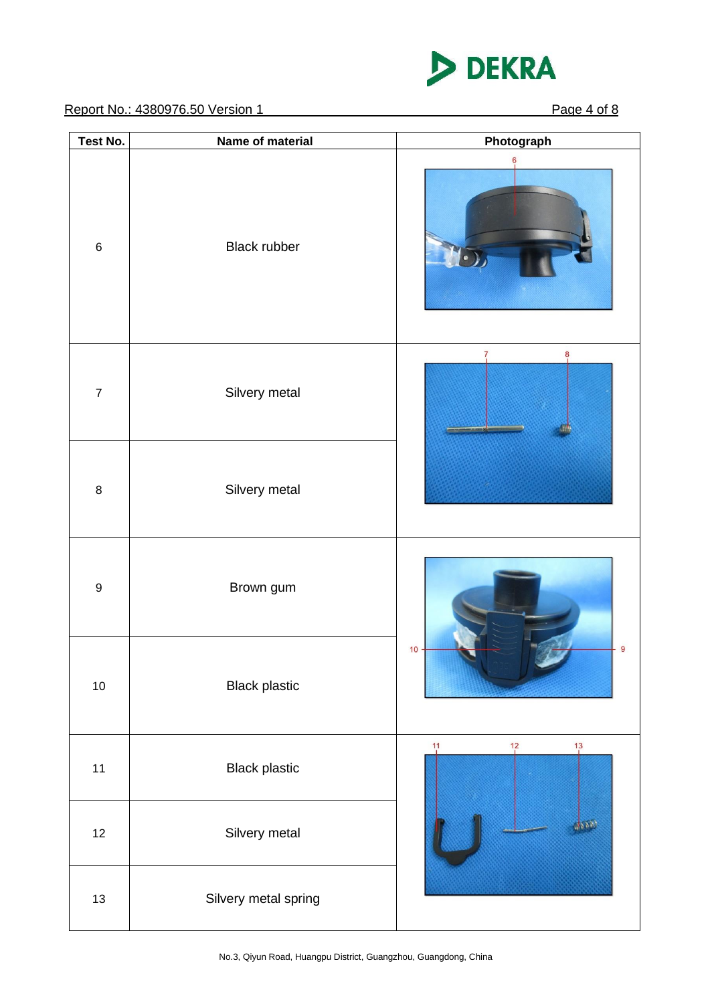

Report No.: 4380976.50 Version 1 Page 4 of 8

| Test No.         | Name of material     | Photograph                                     |
|------------------|----------------------|------------------------------------------------|
| $\,6$            | <b>Black rubber</b>  | 6                                              |
| $\boldsymbol{7}$ | Silvery metal        | 8                                              |
| $\bf8$           | Silvery metal        |                                                |
| $\boldsymbol{9}$ | Brown gum            |                                                |
| $10\,$           | <b>Black plastic</b> | 9<br>10                                        |
| $11$             | <b>Black plastic</b> | $\frac{11}{1}$<br>$\frac{12}{1}$<br>$13 \n 13$ |
| 12               | Silvery metal        | dsab                                           |
| $13\,$           | Silvery metal spring |                                                |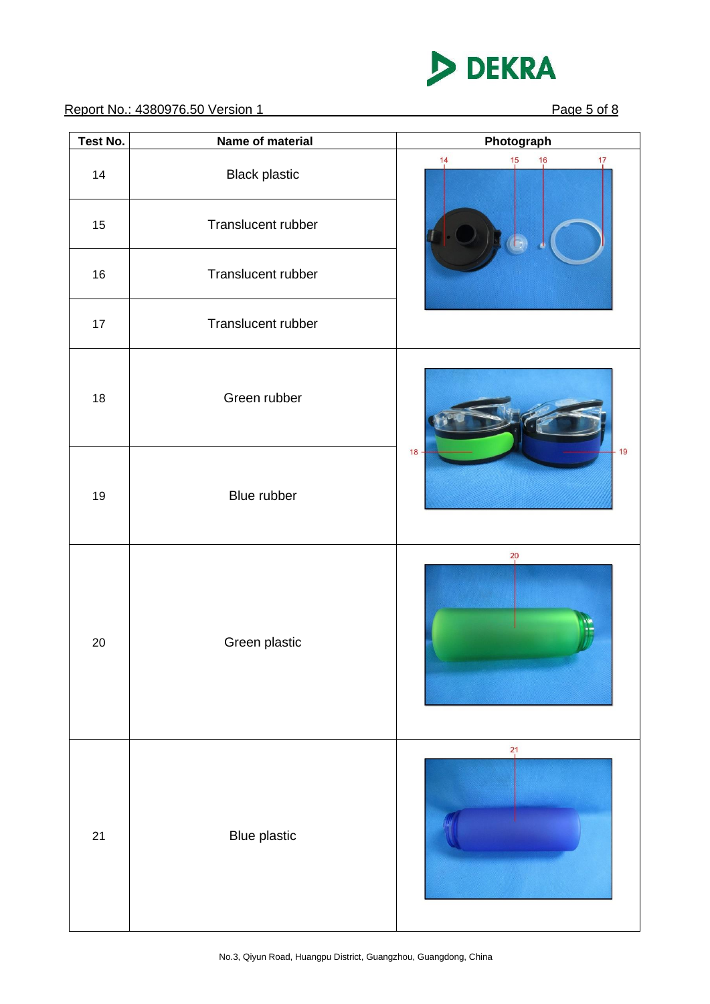

Report No.: 4380976.50 Version 1 Page 5 of 8

| Test No. | Name of material     | Photograph                                   |
|----------|----------------------|----------------------------------------------|
| 14       | <b>Black plastic</b> | 14<br>$\frac{17}{1}$<br>$\frac{15}{1}$<br>16 |
| 15       | Translucent rubber   |                                              |
| 16       | Translucent rubber   |                                              |
| $17$     | Translucent rubber   |                                              |
| 18       | Green rubber         |                                              |
| 19       | Blue rubber          | $-19$<br>$18 -$                              |
| 20       | Green plastic        | $^{20}$                                      |
| 21       | <b>Blue plastic</b>  | $^{21}$                                      |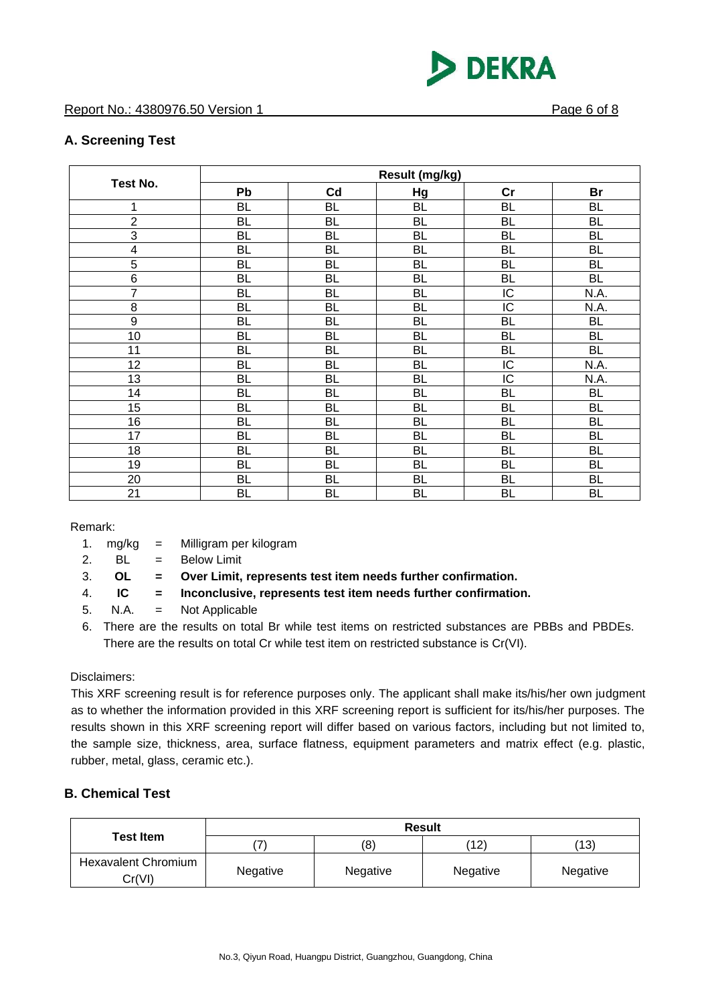

# **A. Screening Test**

| <b>Test No.</b>  | Result (mg/kg) |           |           |           |           |
|------------------|----------------|-----------|-----------|-----------|-----------|
|                  | Pb             | Cd        | Hg        | cr        | Br        |
| 1                | <b>BL</b>      | BL        | BL        | <b>BL</b> | <b>BL</b> |
| $\boldsymbol{2}$ | <b>BL</b>      | <b>BL</b> | BL        | <b>BL</b> | <b>BL</b> |
| 3                | <b>BL</b>      | <b>BL</b> | BL        | <b>BL</b> | <b>BL</b> |
| 4                | <b>BL</b>      | BL        | BL        | <b>BL</b> | <b>BL</b> |
| 5                | <b>BL</b>      | BL        | <b>BL</b> | <b>BL</b> | <b>BL</b> |
| 6                | <b>BL</b>      | BL        | BL        | <b>BL</b> | <b>BL</b> |
| $\overline{7}$   | <b>BL</b>      | BL        | BL        | IC        | N.A.      |
| 8                | <b>BL</b>      | BL        | <b>BL</b> | IC        | N.A.      |
| 9                | <b>BL</b>      | BL        | BL        | <b>BL</b> | <b>BL</b> |
| 10               | <b>BL</b>      | <b>BL</b> | BL        | <b>BL</b> | <b>BL</b> |
| 11               | <b>BL</b>      | <b>BL</b> | <b>BL</b> | <b>BL</b> | <b>BL</b> |
| 12               | <b>BL</b>      | BL        | BL        | IC        | N.A.      |
| 13               | <b>BL</b>      | <b>BL</b> | <b>BL</b> | IC        | N.A.      |
| 14               | <b>BL</b>      | <b>BL</b> | <b>BL</b> | <b>BL</b> | <b>BL</b> |
| 15               | <b>BL</b>      | BL        | BL        | <b>BL</b> | <b>BL</b> |
| 16               | <b>BL</b>      | BL        | BL        | <b>BL</b> | <b>BL</b> |
| 17               | <b>BL</b>      | BL        | BL        | <b>BL</b> | <b>BL</b> |
| 18               | <b>BL</b>      | <b>BL</b> | <b>BL</b> | <b>BL</b> | <b>BL</b> |
| 19               | <b>BL</b>      | <b>BL</b> | BL        | <b>BL</b> | <b>BL</b> |
| 20               | <b>BL</b>      | BL        | BL        | <b>BL</b> | BL        |
| 21               | <b>BL</b>      | <b>BL</b> | BL        | <b>BL</b> | BL        |

Remark:

- 1. mg/kg = Milligram per kilogram
- 2.  $BL = Below Limit$
- 3. **OL = Over Limit, represents test item needs further confirmation.**
- 4. **IC = Inconclusive, represents test item needs further confirmation.**
- 5. N.A. = Not Applicable
- 6. There are the results on total Br while test items on restricted substances are PBBs and PBDEs. There are the results on total Cr while test item on restricted substance is Cr(VI).

#### Disclaimers:

This XRF screening result is for reference purposes only. The applicant shall make its/his/her own judgment as to whether the information provided in this XRF screening report is sufficient for its/his/her purposes. The results shown in this XRF screening report will differ based on various factors, including but not limited to, the sample size, thickness, area, surface flatness, equipment parameters and matrix effect (e.g. plastic, rubber, metal, glass, ceramic etc.).

## **B. Chemical Test**

|                                      | <b>Result</b> |          |          |          |  |
|--------------------------------------|---------------|----------|----------|----------|--|
| <b>Test Item</b>                     |               | (8)      | (12)     | (13)     |  |
| <b>Hexavalent Chromium</b><br>Cr(VI) | Negative      | Negative | Negative | Negative |  |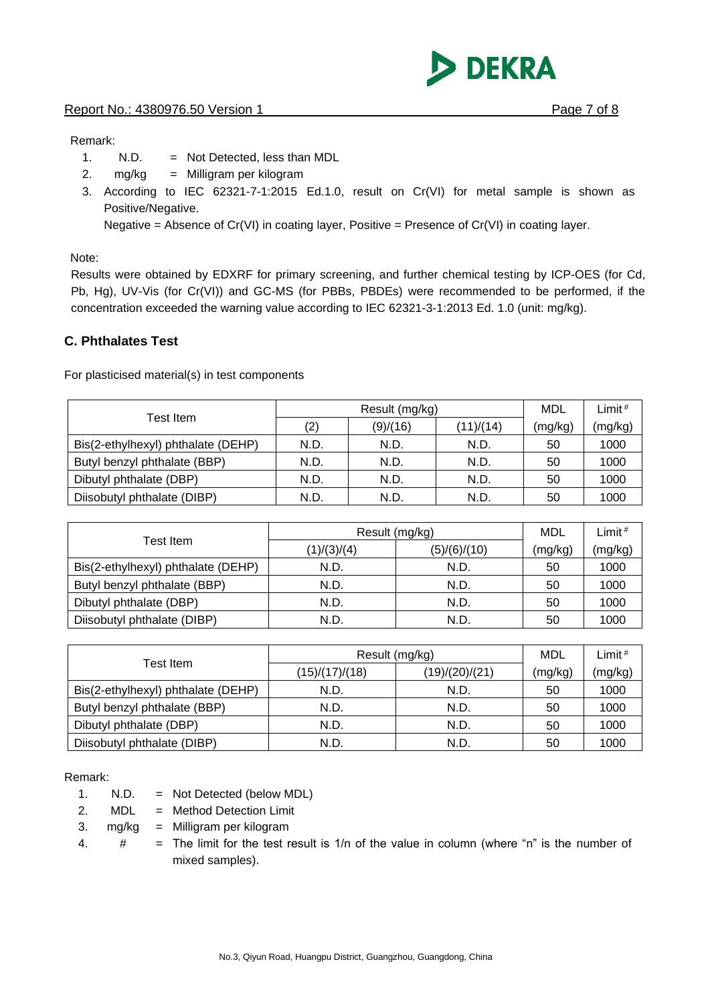**DEKRA** 

#### Remark:

- 1. N.D. = Not Detected, less than MDL
- 2. mg/kg = Milligram per kilogram
- 3. According to IEC 62321-7-1:2015 Ed.1.0, result on Cr(VI) for metal sample is shown as Positive/Negative.

Negative = Absence of  $Cr(VI)$  in coating layer, Positive = Presence of  $Cr(VI)$  in coating layer.

Note:

Results were obtained by EDXRF for primary screening, and further chemical testing by ICP-OES (for Cd, Pb, Hg), UV-Vis (for Cr(VI)) and GC-MS (for PBBs, PBDEs) were recommended to be performed, if the concentration exceeded the warning value according to IEC 62321-3-1:2013 Ed. 1.0 (unit: mg/kg).

# **C. Phthalates Test**

For plasticised material(s) in test components

|                                    | Result (mg/kg) |          |           | MDL     | Limit $#$ |
|------------------------------------|----------------|----------|-----------|---------|-----------|
| Test Item                          | (2)            | (9)/(16) | (11)/(14) | (mg/kg) | (mg/kg)   |
| Bis(2-ethylhexyl) phthalate (DEHP) | N.D.           | N.D.     | N.D.      | 50      | 1000      |
| Butyl benzyl phthalate (BBP)       | N.D.           | N.D.     | N.D.      | 50      | 1000      |
| Dibutyl phthalate (DBP)            | N.D.           | N.D.     | N.D.      | 50      | 1000      |
| Diisobutyl phthalate (DIBP)        | N.D.           | N.D.     | N.D.      | 50      | 1000      |

| Test Item                          | Result (mg/kg) | MDL          | Limit <sup>#</sup> |         |
|------------------------------------|----------------|--------------|--------------------|---------|
|                                    | (1)/(3)/(4)    | (5)/(6)/(10) | (mg/kg)            | (mg/kg) |
| Bis(2-ethylhexyl) phthalate (DEHP) | N.D.           | N.D.         | 50                 | 1000    |
| Butyl benzyl phthalate (BBP)       | N.D.           | N.D.         | 50                 | 1000    |
| Dibutyl phthalate (DBP)            | N.D.           | N.D.         | 50                 | 1000    |
| Diisobutyl phthalate (DIBP)        | N.D.           | N.D.         | 50                 | 1000    |

| Test Item                          | Result (mg/kg) | MDL            | Limit # |         |
|------------------------------------|----------------|----------------|---------|---------|
|                                    | (15)/(17)/(18) | (19)/(20)/(21) | (mg/kg) | (mg/kg) |
| Bis(2-ethylhexyl) phthalate (DEHP) | N.D.           | N.D.           | 50      | 1000    |
| Butyl benzyl phthalate (BBP)       | N.D.           | N.D.           | 50      | 1000    |
| Dibutyl phthalate (DBP)            | N.D.           | N.D.           | 50      | 1000    |
| Diisobutyl phthalate (DIBP)        | N.D.           | N.D.           | 50      | 1000    |

Remark:

1. N.D. = Not Detected (below MDL)

2. MDL = Method Detection Limit

3. mg/kg = Milligram per kilogram

4.  $\#$  = The limit for the test result is 1/n of the value in column (where "n" is the number of mixed samples).